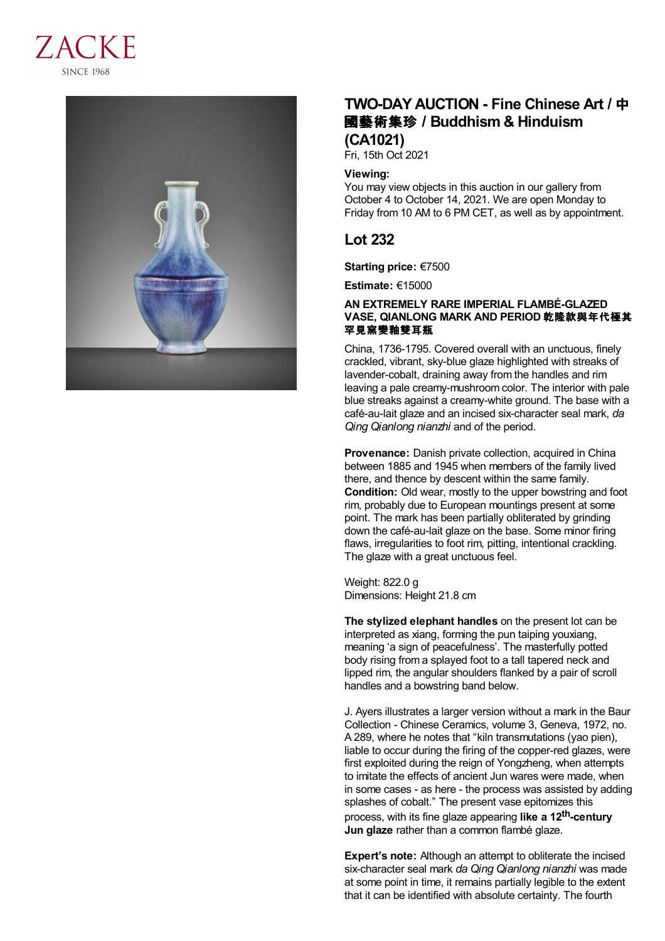



# **TWO-DAY AUCTION - Fine Chinese Art /** 中 國藝術集珍 **/Buddhism & Hinduism (CA1021)**

Fri, 15th Oct 2021

### **Viewing:**

You may view objects in this auction in our gallery from October 4 to October 14, 2021. We are open Monday to Friday from 10 AM to 6 PM CET, as well as by appointment.

## **Lot 232**

**Starting price:** €7500

**Estimate:** €15000

## **AN EXTREMELY RARE IMPERIAL FLAMBÉ-GLAZED VASE, QIANLONG MARK AND PERIOD** 乾隆款與年代極其 罕見窯變釉雙耳瓶

China, 1736-1795. Covered overall with an unctuous, finely crackled, vibrant, sky-blue glaze highlighted with streaks of lavender-cobalt, draining away from the handles and rim leaving a pale creamy-mushroom color. The interior with pale blue streaks against a creamy-white ground. The base with a café-au-lait glaze and an incised six-character seal mark, *da Qing Qianlong nianzhi* and of the period.

**Provenance:** Danish private collection, acquired in China between 1885 and 1945 when members of the family lived there, and thence by descent within the same family. **Condition:** Old wear, mostly to the upper bowstring and foot rim, probably due to European mountings present at some point. The mark has been partially obliterated by grinding down the café-au-lait glaze on the base. Some minor firing flaws, irregularities to foot rim, pitting, intentional crackling. The glaze with a great unctuous feel.

Weight: 822.0 g Dimensions: Height 21.8 cm

**The stylized elephant handles** on the present lot can be interpreted as xiang, forming the pun taiping youxiang, meaning 'a sign of peacefulness'. The masterfully potted body rising from a splayed foot to a tall tapered neck and lipped rim, the angular shoulders flanked by a pair of scroll handles and a bowstring band below.

J. Ayers illustrates a larger version without a mark in the Baur Collection - Chinese Ceramics, volume 3, Geneva, 1972, no. A 289, where he notes that "kiln transmutations (yao pien), liable to occur during the firing of the copper-red glazes, were first exploited during the reign of Yongzheng, when attempts to imitate the effects of ancient Jun wares were made, when in some cases - as here - the process was assisted by adding splashes of cobalt." The present vase epitomizes this process, with its fine glaze appearing **like a 12 th-century Jun glaze** rather than a common flambé glaze.

**Expert's note:** Although an attempt to obliterate the incised six-character seal mark *da Qing Qianlong nianzhi* was made at some point in time, it remains partially legible to the extent that it can be identified with absolute certainty. The fourth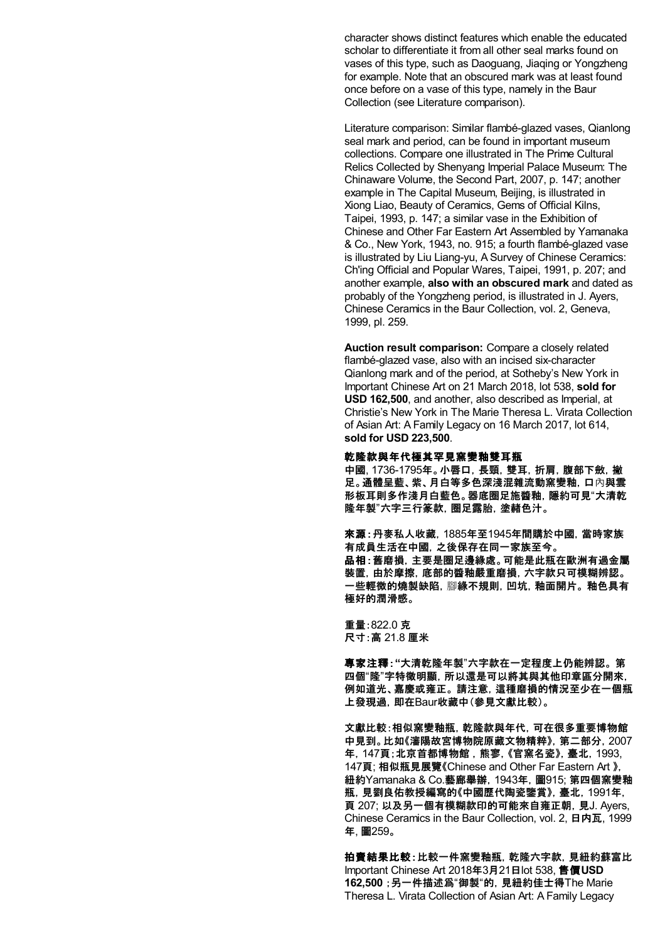character shows distinct features which enable the educated scholar to differentiate it from all other seal marks found on vases of this type, such as Daoguang, Jiaqing or Yongzheng for example. Note that an obscured mark was at least found once before on a vase of this type, namely in the Baur Collection (see Literature comparison).

Literature comparison: Similar flambé-glazed vases, Qianlong seal mark and period, can be found in important museum collections. Compare one illustrated in The Prime Cultural Relics Collected by Shenyang Imperial Palace Museum: The Chinaware Volume, the Second Part, 2007, p. 147; another example in The Capital Museum, Beijing, is illustrated in Xiong Liao, Beauty of Ceramics, Gems of Official Kilns, Taipei, 1993, p. 147; a similar vase in the Exhibition of Chinese and Other Far Eastern Art Assembled by Yamanaka & Co., New York, 1943, no. 915; a fourth flambé-glazed vase is illustrated by Liu Liang-yu, A Survey of Chinese Ceramics: Ch'ing Official and Popular Wares, Taipei, 1991, p. 207; and another example, **also with an obscured mark** and dated as probably of the Yongzheng period, is illustrated in J. Ayers, Chinese Ceramics in the Baur Collection, vol. 2, Geneva, 1999, pl. 259.

**Auction result comparison:** Compare a closely related flambé-glazed vase, also with an incised six-character Qianlong mark and of the period, at Sotheby's New York in Important Chinese Art on 21 March 2018, lot 538, **sold for USD 162,500**, and another, also described as Imperial, at Christie's New York in The Marie Theresa L. Virata Collection of Asian Art: A Family Legacy on 16 March 2017, lot 614, **sold for USD 223,500**.

#### 乾隆款與年代極其罕見窯變釉雙耳瓶

中國, 1736-1795年。小唇口,長頸,雙耳,折肩,腹部下斂,撇 足。通體呈藍、紫、月白等多色深淺混雜流動窯變釉,口內與雲 形板耳則多作淺月白藍色。器底圈足施醬釉,隱約可見"大清乾 隆年製"六字三行篆款,圈足露胎,塗赭色汁。

來源:丹麥私人收藏,1885年至1945年間購於中國,當時家族 有成員生活在中國,之後保存在同一家族至今。 品相:舊磨損,主要是圈足邊緣處。可能是此瓶在歐洲有過金屬 裝置,由於摩擦,底部的醬釉嚴重磨損,六字款只可模糊辨認。 一些輕微的燒製缺陷,腳緣不規則,凹坑,釉面開片。 釉色具有 極好的潤滑感。

重量:822.0 克 尺寸:高 21.8 厘米

專家注釋:**"**大清乾隆年製"六字款在一定程度上仍能辨認。 第 四個"隆"字特徵明顯,所以還是可以將其與其他印章區分開來, 例如道光、嘉慶或雍正。 請注意,這種磨損的情況至少在一個瓶 上發現過,即在Baur收藏中(參見文獻比較)。

文獻比較:相似窯變釉瓶,乾隆款與年代,可在很多重要博物館 中見到。比如《瀋陽故宮博物院原藏文物精粹》,第二部分,2007 年,147頁;北京首都博物館 ,熊寥,《官窯名瓷》,臺北,1993, 147頁; 相似瓶見展覽《Chinese and Other Far Eastern Art 》, 紐約Yamanaka & Co.藝廊舉辦,1943年,圖915; 第四個窯變釉 瓶,見劉良佑教授編寫的《中國歷代陶瓷鑒賞》,臺北,1991年, 頁 207; 以及另一個有模糊款印的可能來自雍正朝,見J. Ayers, Chinese Ceramics in the Baur Collection, vol. 2, 日内瓦, 1999 年, 圖259。

拍賣結果比較:比較一件窯變釉瓶,乾隆六字款,見紐約蘇富比 Important Chinese Art 2018年3月21日lot 538, 售價**USD 162,500** ;另一件描述爲"御製"的,見紐約佳士得The Marie Theresa L. Virata Collection of Asian Art: A Family Legacy